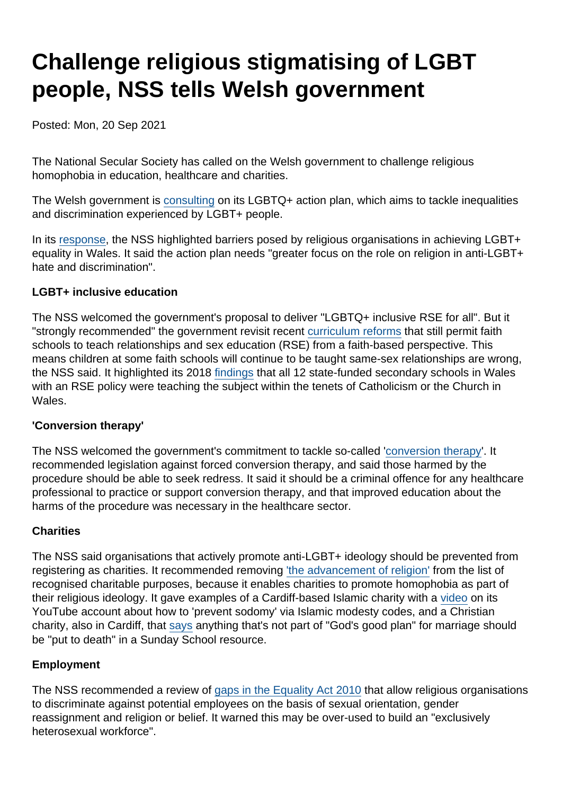# Challenge religious stigmatising of LGBT people, NSS tells Welsh government

Posted: Mon, 20 Sep 2021

The National Secular Society has called on the Welsh government to challenge religious homophobia in education, healthcare and charities.

The Welsh government is [consulting](https://gov.wales/lgbtq-action-plan) on its LGBTQ+ action plan, which aims to tackle inequalities and discrimination experienced by LGBT+ people.

In its [response](https://www.secularism.org.uk/uploads/wales-lgbt-action-plan-nss-response-3.pdf?v=1631888385), the NSS highlighted barriers posed by religious organisations in achieving LGBT+ equality in Wales. It said the action plan needs "greater focus on the role on religion in anti-LGBT+ hate and discrimination".

### LGBT+ inclusive education

The NSS welcomed the government's proposal to deliver "LGBTQ+ inclusive RSE for all". But it "strongly recommended" the government revisit recent [curriculum reforms](https://www.secularism.org.uk/news/2021/03/major-reform-of-teaching-on-religion-and-belief-passes-in-wales) that still permit faith schools to teach relationships and sex education (RSE) from a faith-based perspective. This means children at some faith schools will continue to be taught same-sex relationships are wrong, the NSS said. It highlighted its 2018 [findings](https://www.secularism.org.uk/news/2018/05/welsh-faith-schools-will-keep-distorting-sex-education-nss-warns) that all 12 state-funded secondary schools in Wales with an RSE policy were teaching the subject within the tenets of Catholicism or the Church in Wales.

### 'Conversion therapy'

The NSS welcomed the government's commitment to tackle so-called '[conversion therapy](https://www.secularism.org.uk/conversion-therapy/)'. It recommended legislation against forced conversion therapy, and said those harmed by the procedure should be able to seek redress. It said it should be a criminal offence for any healthcare professional to practice or support conversion therapy, and that improved education about the harms of the procedure was necessary in the healthcare sector.

### **Charities**

The NSS said organisations that actively promote anti-LGBT+ ideology should be prevented from registering as charities. It recommended removing ['the advancement of religion'](https://www.secularism.org.uk/charities/) from the list of recognised charitable purposes, because it enables charities to promote homophobia as part of their religious ideology. It gave examples of a Cardiff-based Islamic charity with a [video](https://www.youtube.com/watch?v=0Gu_tlR-l1Q) on its YouTube account about how to 'prevent sodomy' via Islamic modesty codes, and a Christian charity, also in Cardiff, that [says](https://www.highfieldschurch.org.uk/cathays/sunday/2020/jun/14/colossians-edge-on-sunday) anything that's not part of "God's good plan" for marriage should be "put to death" in a Sunday School resource.

### Employment

The NSS recommended a review of [gaps in the Equality Act 2010](https://www.secularism.org.uk/defend-equality-laws/faith-shaped-holes-how-religious.html) that allow religious organisations to discriminate against potential employees on the basis of sexual orientation, gender reassignment and religion or belief. It warned this may be over-used to build an "exclusively heterosexual workforce".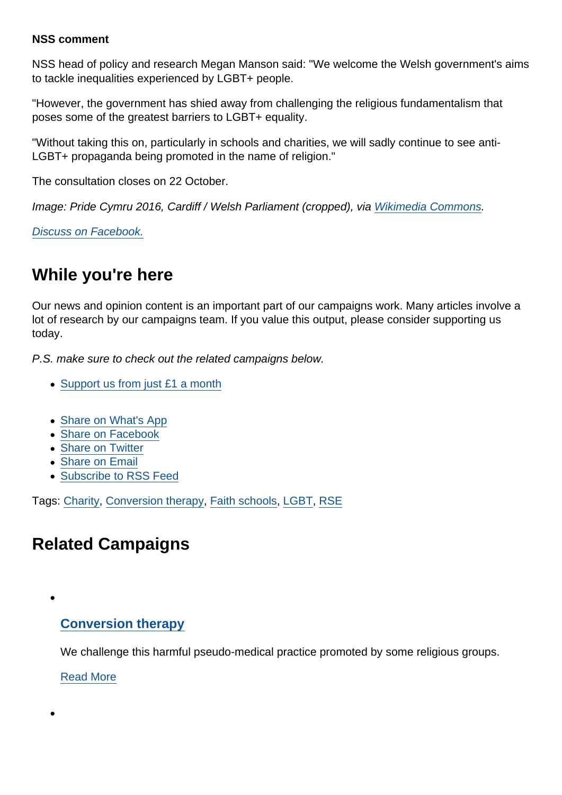### NSS comment

NSS head of policy and research Megan Manson said: "We welcome the Welsh government's aims to tackle inequalities experienced by LGBT+ people.

"However, the government has shied away from challenging the religious fundamentalism that poses some of the greatest barriers to LGBT+ equality.

"Without taking this on, particularly in schools and charities, we will sadly continue to see anti-LGBT+ propaganda being promoted in the name of religion."

The consultation closes on 22 October.

Image: Pride Cymru 2016, Cardiff / Welsh Parliament (cropped), via [Wikimedia Commons](https://commons.wikimedia.org/wiki/File:Pride_Cymru_2016,_Cardiff_(28444194874).jpg).

[Discuss on Facebook.](https://www.facebook.com/NationalSecularSociety/posts/4353804968021154?__cft__[0]=AZVo2GYfbz3a9xqsjp2CV4_Dh0R1jowaelO1QEkOhnDuFx_OstQWEdrlAulkSHgk4oG6akMqiFBGfignAuXpGQCtrJwunH1im5qJhb6BD5STGvwQ2YZUVEtcRhAQoebcLp2IfgavQVEf9yPuTQctO55qOcs9DlPpsIJtObOY55pMPVfuh2aGqU-WmnqJiD1m8dY&__tn__=,O,P-R)

# While you're here

Our news and opinion content is an important part of our campaigns work. Many articles involve a lot of research by our campaigns team. If you value this output, please consider supporting us today.

P.S. make sure to check out the related campaigns below.

- [Support us from just £1 a month](https://www.secularism.org.uk/donate.html)
- [Share on What's App](whatsapp://send?text=http://www.secularism.org.uk/news/2021/09/challenge-religious-stigmatising-of-lgbt-people-nss-tells-welsh-government?format=pdf)
- [Share on Facebook](https://www.facebook.com/sharer/sharer.php?u=http://www.secularism.org.uk/news/2021/09/challenge-religious-stigmatising-of-lgbt-people-nss-tells-welsh-government?format=pdf&t=Challenge+religious+stigmatising+of+LGBT+people,+NSS+tells+Welsh+government)
- [Share on Twitter](https://twitter.com/intent/tweet?url=http://www.secularism.org.uk/news/2021/09/challenge-religious-stigmatising-of-lgbt-people-nss-tells-welsh-government?format=pdf&text=Challenge+religious+stigmatising+of+LGBT+people,+NSS+tells+Welsh+government&via=NatSecSoc)
- [Share on Email](https://www.secularism.org.uk/share.html?url=http://www.secularism.org.uk/news/2021/09/challenge-religious-stigmatising-of-lgbt-people-nss-tells-welsh-government?format=pdf&title=Challenge+religious+stigmatising+of+LGBT+people,+NSS+tells+Welsh+government)
- [Subscribe to RSS Feed](/mnt/web-data/www/cp-nss/feeds/rss/news)

Tags: [Charity](https://www.secularism.org.uk/news/tags/Charity), [Conversion therapy](https://www.secularism.org.uk/news/tags/Conversion+therapy), [Faith schools](https://www.secularism.org.uk/news/tags/Faith+schools), [LGBT](https://www.secularism.org.uk/news/tags/LGBT), [RSE](https://www.secularism.org.uk/news/tags/RSE)

# Related Campaigns

### [Conversion therapy](https://www.secularism.org.uk/conversion-therapy/)

We challenge this harmful pseudo-medical practice promoted by some religious groups.

[Read More](https://www.secularism.org.uk/conversion-therapy/)